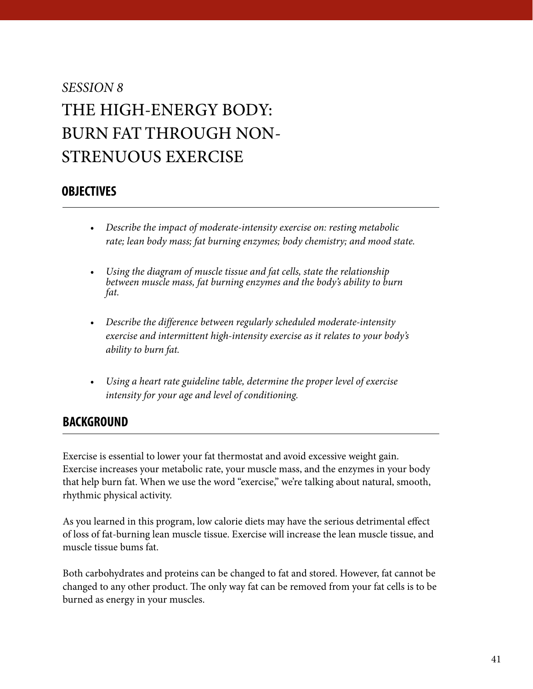### *SESSION 8* THE HIGH-ENERGY BODY: BURN FAT THROUGH NON-STRENUOUS EXERCISE

### **OBJECTIVES**

- *Describe the impact of moderate-intensity exercise on: resting metabolic rate; lean body mass; fat burning enzymes; body chemistry; and mood state.*
- *Using the diagram of muscle tissue and fat cells, state the relationship between muscle mass, fat burning enzymes and the body's ability to burn fat.*
- *Describe the difference between regularly scheduled moderate-intensity exercise and intermittent high-intensity exercise as it relates to your body's ability to burn fat.*
- *Using a heart rate guideline table, determine the proper level of exercise intensity for your age and level of conditioning.*

### **BACKGROUND**

Exercise is essential to lower your fat thermostat and avoid excessive weight gain. Exercise increases your metabolic rate, your muscle mass, and the enzymes in your body that help burn fat. When we use the word "exercise," we're talking about natural, smooth, rhythmic physical activity.

As you learned in this program, low calorie diets may have the serious detrimental effect of loss of fat-burning lean muscle tissue. Exercise will increase the lean muscle tissue, and muscle tissue bums fat.

Both carbohydrates and proteins can be changed to fat and stored. However, fat cannot be changed to any other product. The only way fat can be removed from your fat cells is to be burned as energy in your muscles.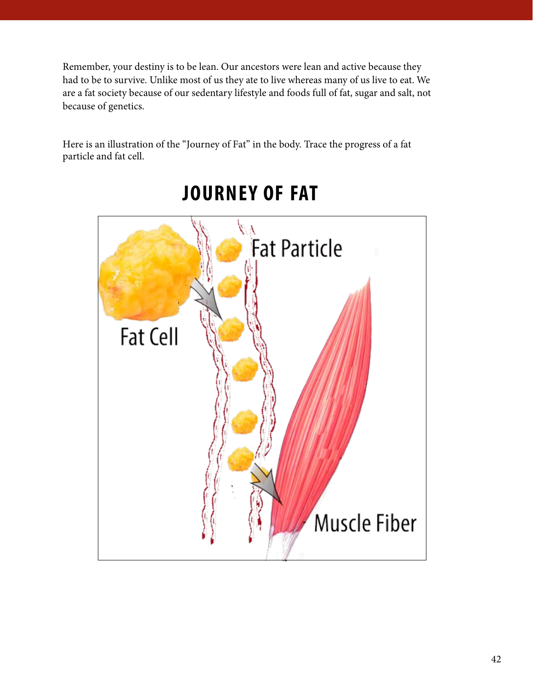<span id="page-1-0"></span>Remember, your destiny is to be lean. Our ancestors were lean and active because they had to be to survive. Unlike most of us they ate to live whereas many of us live to eat. We are a fat society because of our sedentary lifestyle and foods full of fat, sugar and salt, not because of genetics.

Here is an illustration of the "Journey of Fat" in the body. Trace the progress of a fat particle and fat cell.



## **JOURNEY OF FAT**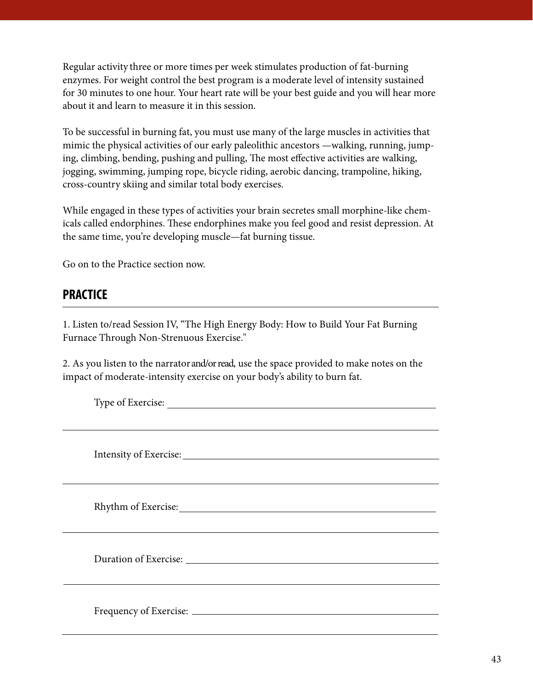Regular activity three or more times per week stimulates production of fat-burning enzymes. For weight control the best program is a moderate level of intensity sustained for 30 minutes to one hour. Your heart rate will be your best guide and you will hear more about it and learn to measure it in this session.

To be successful in burning fat, you must use many of the large muscles in activities that mimic the physical activities of our early paleolithic ancestors —walking, running, jumping, climbing, bending, pushing and pulling, The most effective activities are walking, jogging, swimming, jumping rope, bicycle riding, aerobic dancing, trampoline, hiking, cross-country skiing and similar total body exercises.

While engaged in these types of activities your brain secretes small morphine-like chemicals called endorphines. These endorphines make you feel good and resist depression. At the same time, you're developing muscle—fat burning tissue.

Go on to the Practice section now.

### **PRACTICE**

1. Listen to/read Session IV, "The High Energy Body: How to Build Your Fat Burning Furnace Through Non-Strenuous Exercise."

2. As you listen to the narrator and/or read, use the space provided to make notes on the impact of moderate-intensity exercise on your body's ability to burn fat.

| Type of Exercise: |
|-------------------|
|                   |
|                   |
|                   |
|                   |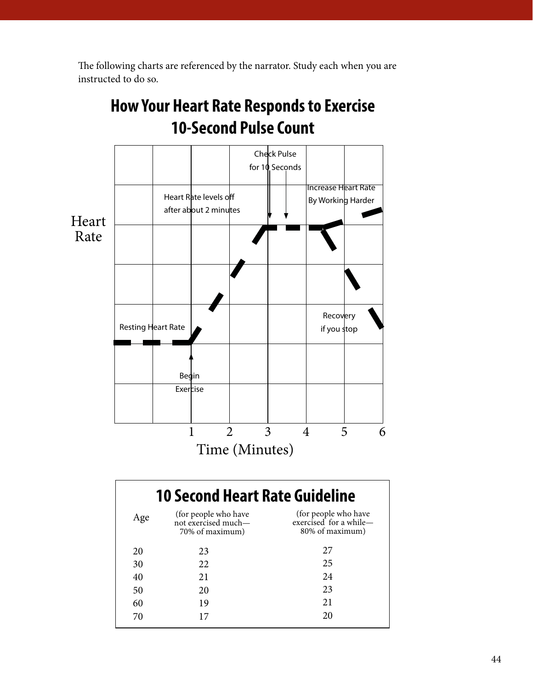<span id="page-3-0"></span>The following charts are referenced by the narrator. Study each when you are instructed to do so.



# **How Your Heart Rate Responds to Exercise**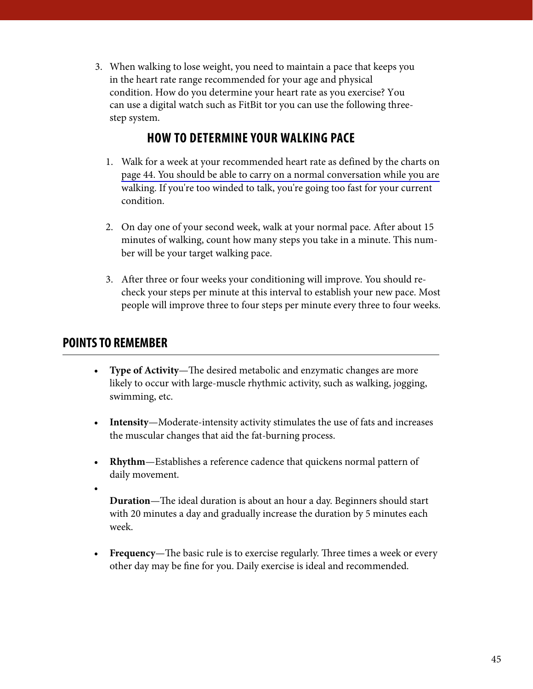When walking to lose weight, you need to maintain a pace that keeps you 3.in the heart rate range recommended for your age and physical condition. How do you determine your heart rate as you exercise? You can use a digital watch such as FitBit tor you can use the following threestep system.

### **HOW TO DETERMINE YOUR WALKING PACE**

- 1. Walk for a week at your recommended heart rate as defined by the charts on [page 44. You should be able to carry on a normal conversation while you are](#page-3-0) walking. If you're too winded to talk, you're going too fast for your current condition.
- 2. On day one of your second week, walk at your normal pace. After about 15 minutes of walking, count how many steps you take in a minute. This number will be your target walking pace.
- 3. After three or four weeks your conditioning will improve. You should recheck your steps per minute at this interval to establish your new pace. Most people will improve three to four steps per minute every three to four weeks.

### **POINTS TO REMEMBER**

- **• Type of Activity**—The desired metabolic and enzymatic changes are more likely to occur with large-muscle rhythmic activity, such as walking, jogging, swimming, etc.
- **• Intensity**—Moderate-intensity activity stimulates the use of fats and increases the muscular changes that aid the fat-burning process.
- **• Rhythm**—Establishes a reference cadence that quickens normal pattern of daily movement.
- •

**Duration**—The ideal duration is about an hour a day. Beginners should start with 20 minutes a day and gradually increase the duration by 5 minutes each week.

**• Frequency**—The basic rule is to exercise regularly. Three times a week or every other day may be fine for you. Daily exercise is ideal and recommended.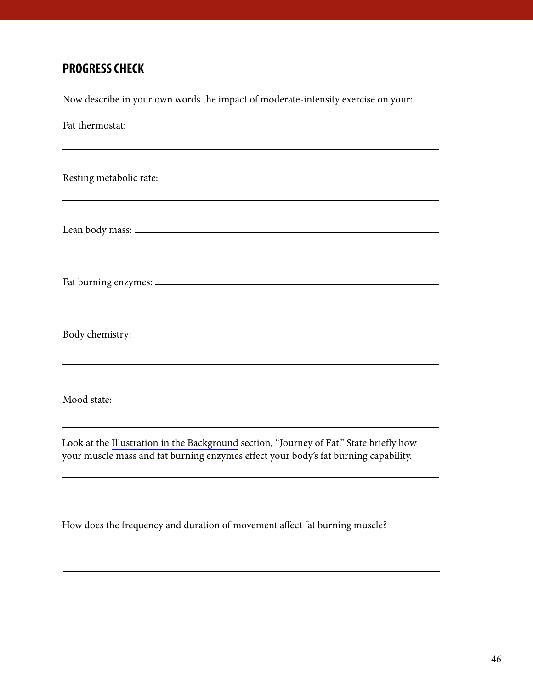### **PROGRESS CHECK**

Now describe in your own words the impact of moderate-intensity exercise on your: Fat thermostat: Resting metabolic rate: Lean body mass: Fat burning enzymes: Body chemistry: Mood state: Look at the [Illustration in the Background](#page-1-0) section, "Journey of Fat." State briefly how your muscle mass and fat burning enzymes effect your body's fat burning capability. How does the frequency and duration of movement affect fat burning muscle?